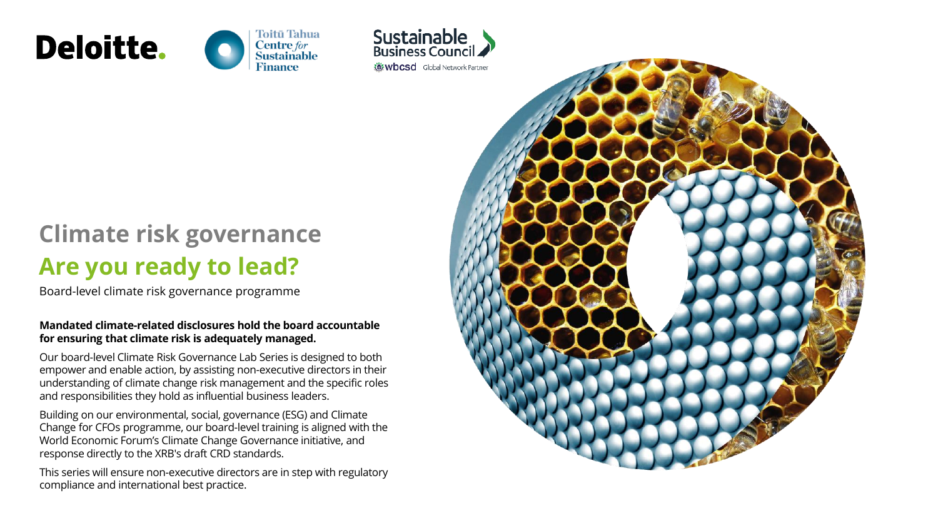





# **Climate risk governance Are you ready to lead?**

Board-level climate risk governance programme

#### **Mandated climate-related disclosures hold the board accountable for ensuring that climate risk is adequately managed.**

Our board-level Climate Risk Governance Lab Series is designed to both empower and enable action, by assisting non-executive directors in their understanding of climate change risk management and the specific roles and responsibilities they hold as influential business leaders.

Building on our environmental, social, governance (ESG) and Climate Change for CFOs programme, our board-level training is aligned with the World Economic Forum's Climate Change Governance initiative, and response directly to the XRB's draft CRD standards.

This series will ensure non-executive directors are in step with regulatory compliance and international best practice.

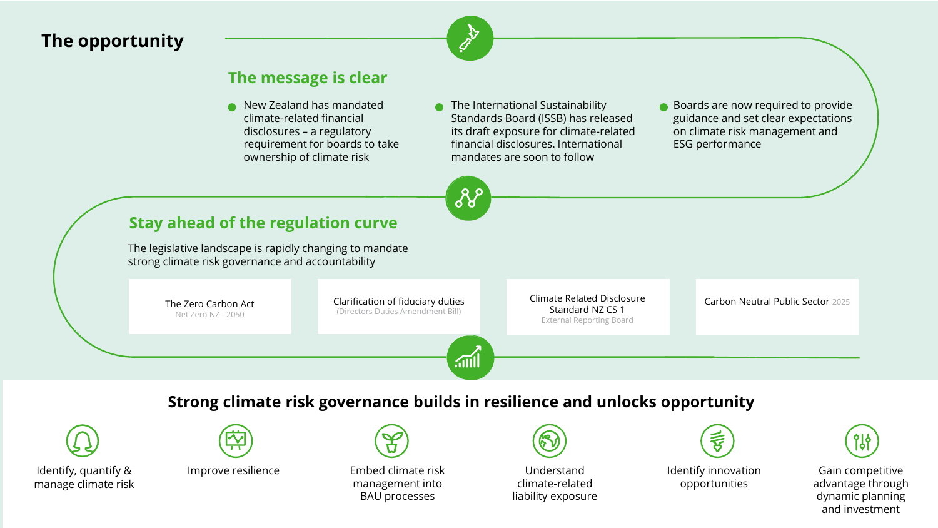# **The opportunity**



တွ

### **The message is clear**

- New Zealand has mandated climate-related financial disclosures – a regulatory requirement for boards to take ownership of climate risk
- **C** The International Sustainability Standards Board (ISSB) has released its draft exposure for climate-related financial disclosures. International mandates are soon to follow
- Boards are now required to provide guidance and set clear expectations on climate risk management and ESG performance

# **Stay ahead of the regulation curve**

The legislative landscape is rapidly changing to mandate strong climate risk governance and accountability

> The Zero Carbon Act Clarification of fiduciary duties (Directors Duties Amendment Bill)

Climate Related Disclosure Standard NZ CS 1 External Reporting Board

Carbon Neutral Public Sector 2025

# **Strong climate risk governance builds in resilience and unlocks opportunity**

 $\sqrt{m}$ 



Identify, quantify & manage climate risk



Net Zero NZ - 2050



Improve resilience Embed climate risk management into BAU processes



Understand climate-related liability exposure



Identify innovation opportunities

Gain competitive advantage through dynamic planning and investment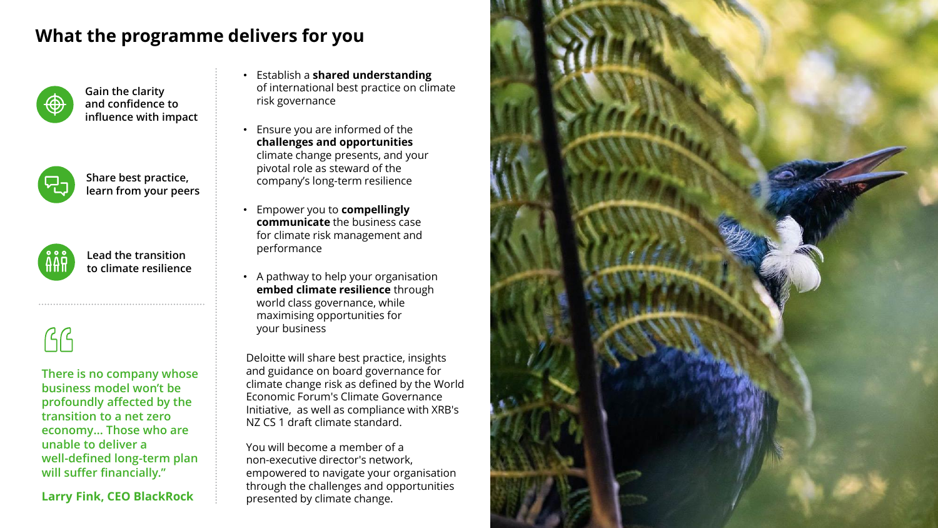# **What the programme delivers for you**



**Gain the clarity and confidence to influence with impact**

**Share best practice, learn from your peers**



**Lead the transition to climate resilience**

 $\beta$ 

**There is no company whose business model won't be profoundly affected by the transition to a net zero economy… Those who are unable to deliver a well-defined long-term plan will suffer financially."**

**Larry Fink, CEO BlackRock**

- Establish a **shared understanding** of international best practice on climate risk governance
- Ensure you are informed of the **challenges and opportunities** climate change presents, and your pivotal role as steward of the company's long-term resilience
- Empower you to **compellingly communicate** the business case for climate risk management and performance
- A pathway to help your organisation **embed climate resilience** through world class governance, while maximising opportunities for your business

Deloitte will share best practice, insights and guidance on board governance for climate change risk as defined by the World Economic Forum's Climate Governance Initiative, as well as compliance with XRB's NZ CS 1 draft climate standard.

You will become a member of a non-executive director's network, empowered to navigate your organisation through the challenges and opportunities presented by climate change.

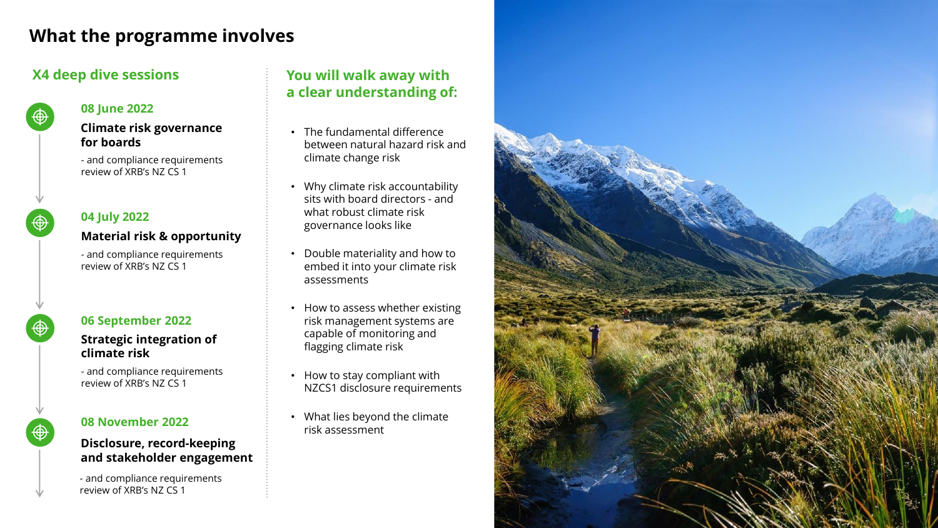# **What the programme involves**

### **X4 deep dive sessions**



#### **08 June 2022**

#### **Climate risk governance for boards**

- and compliance requirements review of XRB's NZ CS 1

# **04 July 2022**

#### **Material risk & opportunity**

- and compliance requirements review of XRB's NZ CS 1



#### **06 September 2022**

#### **Strategic integration of climate risk**

- and compliance requirements review of XRB's NZ CS 1

#### **08 November 2022**

#### **Disclosure, record-keeping and stakeholder engagement**

- and compliance requirements review of XRB's NZ CS 1

# **You will walk away with a clear understanding of:**

- The fundamental difference between natural hazard risk and climate change risk
- Why climate risk accountability sits with board directors - and what robust climate risk governance looks like
- Double materiality and how to embed it into your climate risk assessments
- How to assess whether existing risk management systems are capable of monitoring and flagging climate risk
- How to stay compliant with NZCS1 disclosure requirements
- What lies beyond the climate risk assessment

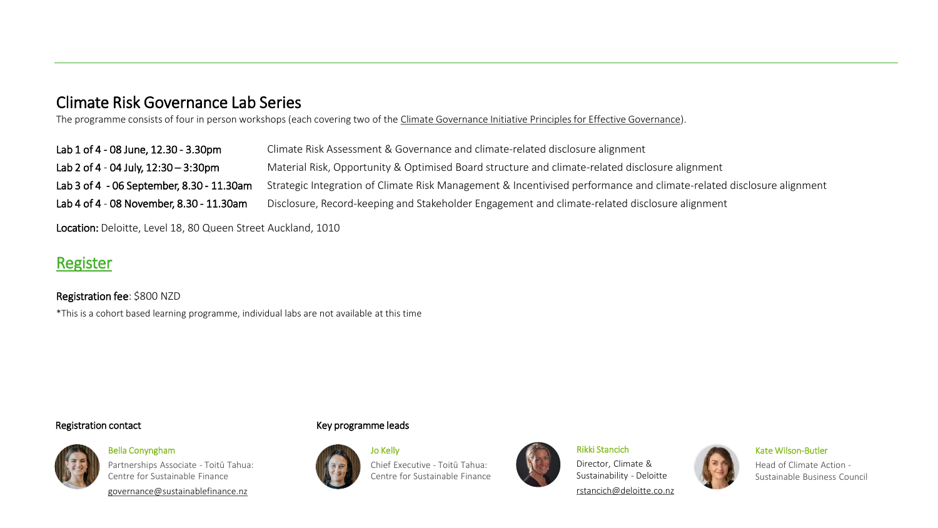# Climate Risk Governance Lab Series

The programme consists of four in person workshops (each covering two of the [Climate Governance Initiative Principles for Effective Governance\)](https://climate-governance.org/principles-for-effective-climate-governance/).

| Lab 1 of 4 - 08 June, 12.30 - 3.30pm      | Climate Risk Assessment & Governance and climate-related disclosure alignment                                        |
|-------------------------------------------|----------------------------------------------------------------------------------------------------------------------|
| Lab 2 of 4 - 04 July, $12:30 - 3:30$ pm   | Material Risk, Opportunity & Optimised Board structure and climate-related disclosure alignment                      |
| Lab 3 of 4 - 06 September, 8.30 - 11.30am | Strategic Integration of Climate Risk Management & Incentivised performance and climate-related disclosure alignment |
| Lab 4 of 4 - 08 November, 8.30 - 11.30am  | Disclosure, Record-keeping and Stakeholder Engagement and climate-related disclosure alignment                       |

Location: Deloitte, Level 18, 80 Queen Street Auckland, 1010

# **[Register](https://events.humanitix.com/climate-risk-governance-workshop-series?_ga=2.71721747.1686052725.1651803284-1341369772.1647314162)**

Registration fee: \$800 NZD \*This is a cohort based learning programme, individual labs are not available at this time

#### Registration contact



Bella Conyngham Partnerships Associate - Toitū Tahua: Centre for Sustainable Finance [governance@sustainablefinance.nz](mailto:governance@sustainablefinance.nz)

#### Key programme leads



Chief Executive - Toitū Tahua: Centre for Sustainable Finance



#### Rikki Stancich

Director, Climate & Sustainability - Deloitte

[rstancich@deloitte.co.nz](mailto:jrama@deloitte.co.nz)



#### Kate Wilson-Butler

Head of Climate Action - Sustainable Business Council